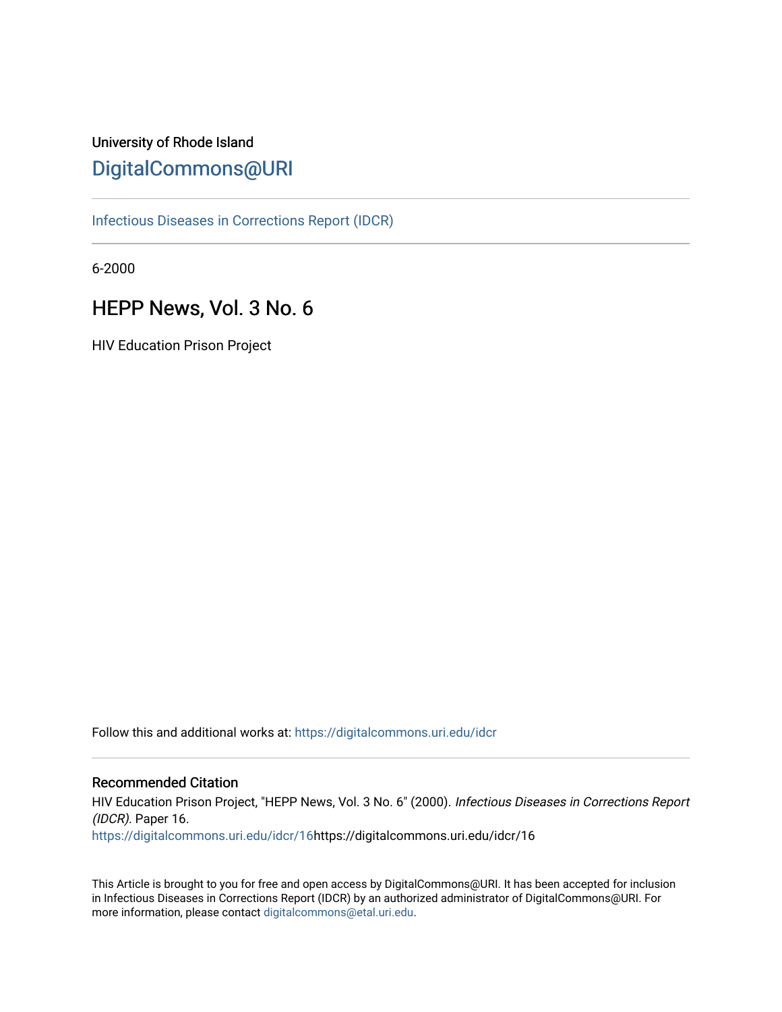# University of Rhode Island [DigitalCommons@URI](https://digitalcommons.uri.edu/)

[Infectious Diseases in Corrections Report \(IDCR\)](https://digitalcommons.uri.edu/idcr)

6-2000

# HEPP News, Vol. 3 No. 6

HIV Education Prison Project

Follow this and additional works at: [https://digitalcommons.uri.edu/idcr](https://digitalcommons.uri.edu/idcr?utm_source=digitalcommons.uri.edu%2Fidcr%2F16&utm_medium=PDF&utm_campaign=PDFCoverPages)

## Recommended Citation

HIV Education Prison Project, "HEPP News, Vol. 3 No. 6" (2000). Infectious Diseases in Corrections Report (IDCR). Paper 16. [https://digitalcommons.uri.edu/idcr/16h](https://digitalcommons.uri.edu/idcr/16?utm_source=digitalcommons.uri.edu%2Fidcr%2F16&utm_medium=PDF&utm_campaign=PDFCoverPages)ttps://digitalcommons.uri.edu/idcr/16

This Article is brought to you for free and open access by DigitalCommons@URI. It has been accepted for inclusion in Infectious Diseases in Corrections Report (IDCR) by an authorized administrator of DigitalCommons@URI. For more information, please contact [digitalcommons@etal.uri.edu.](mailto:digitalcommons@etal.uri.edu)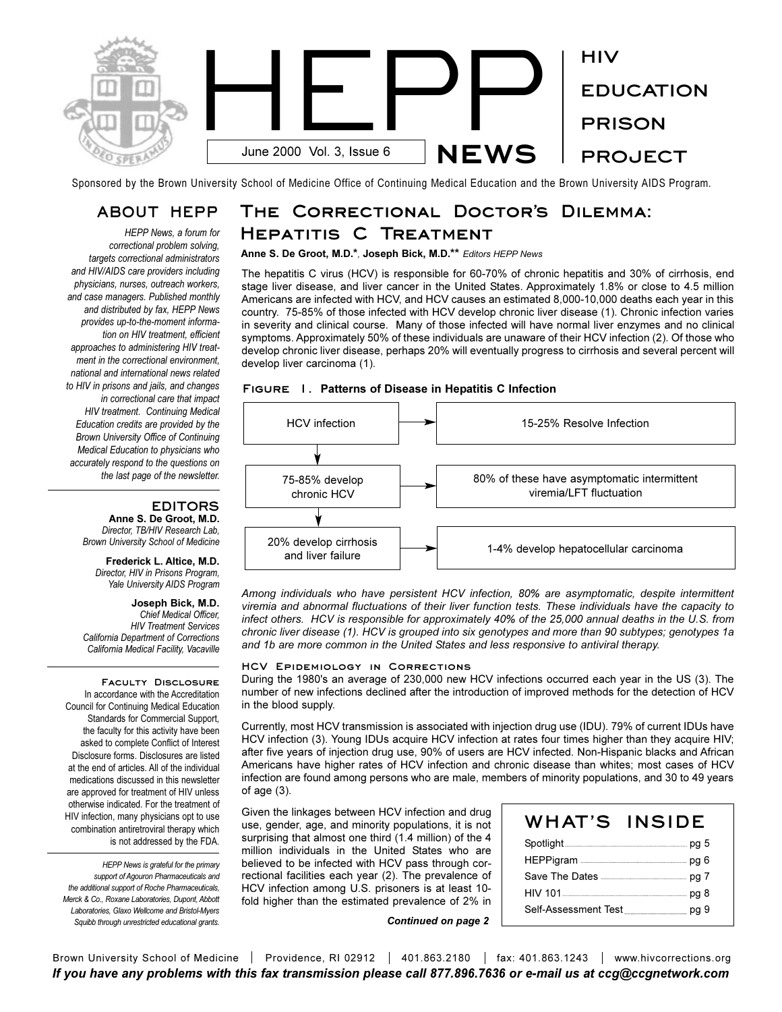

Sponsored by the Brown University School of Medicine Office of Continuing Medical Education and the Brown University AIDS Program.

## **ABOUT HEPP**

*HEPP News, a forum for correctional problem solving, targets correctional administrators and HIV/AIDS care providers including physicians, nurses, outreach workers, and case managers. Published monthly and distributed by fax, HEPP News provides up-to-the-moment information on HIV treatment, efficient approaches to administering HIV treatment in the correctional environment, national and international news related to HIV in prisons and jails, and changes in correctional care that impact HIV treatment. Continuing Medical Education credits are provided by the Brown University Office of Continuing Medical Education to physicians who accurately respond to the questions on the last page of the newsletter.* 

## **EDITORS**

**Anne S. De Groot, M.D.** *Director, TB/HIV Research Lab, Brown University School of Medicine*

#### **Frederick L. Altice, M.D.** *Director, HIV in Prisons Program, Yale University AIDS Program*

**Joseph Bick, M.D.** *Chief Medical Officer, HIV Treatment Services California Department of Corrections California Medical Facility, Vacaville*

**Faculty Disclosure**  In accordance with the Accreditation Council for Continuing Medical Education Standards for Commercial Support, the faculty for this activity have been asked to complete Conflict of Interest Disclosure forms. Disclosures are listed at the end of articles. All of the individual medications discussed in this newsletter are approved for treatment of HIV unless otherwise indicated. For the treatment of HIV infection, many physicians opt to use combination antiretroviral therapy which is not addressed by the FDA.

*HEPP News is grateful for the primary support of Agouron Pharmaceuticals and the additional support of Roche Pharmaceuticals, Merck & Co., Roxane Laboratories, Dupont, Abbott Laboratories, Glaxo Wellcome and Bristol-Myers Squibb through unrestricted educational grants.*

# THE CORRECTIONAL DOCTOR'S DILEMMA: **Hepatitis C Treatment**

**Anne S. De Groot, M.D.\****,* **Joseph Bick, M.D.\*\*** *Editors HEPP News*

The hepatitis C virus (HCV) is responsible for 60-70% of chronic hepatitis and 30% of cirrhosis, end stage liver disease, and liver cancer in the United States. Approximately 1.8% or close to 4.5 million Americans are infected with HCV, and HCV causes an estimated 8,000-10,000 deaths each year in this country. 75-85% of those infected with HCV develop chronic liver disease (1). Chronic infection varies in severity and clinical course. Many of those infected will have normal liver enzymes and no clinical symptoms. Approximately 50% of these individuals are unaware of their HCV infection (2). Of those who develop chronic liver disease, perhaps 20% will eventually progress to cirrhosis and several percent will develop liver carcinoma (1).





*Among individuals who have persistent HCV infection, 80% are asymptomatic, despite intermittent viremia and abnormal fluctuations of their liver function tests. These individuals have the capacity to infect others. HCV is responsible for approximately 40% of the 25,000 annual deaths in the U.S. from chronic liver disease (1). HCV is grouped into six genotypes and more than 90 subtypes; genotypes 1a and 1b are more common in the United States and less responsive to antiviral therapy.*

#### **HCV Epidemiology in Corrections**

During the 1980's an average of 230,000 new HCV infections occurred each year in the US (3). The number of new infections declined after the introduction of improved methods for the detection of HCV in the blood supply.

Currently, most HCV transmission is associated with injection drug use (IDU). 79% of current IDUs have HCV infection (3). Young IDUs acquire HCV infection at rates four times higher than they acquire HIV; after five years of injection drug use, 90% of users are HCV infected. Non-Hispanic blacks and African Americans have higher rates of HCV infection and chronic disease than whites; most cases of HCV infection are found among persons who are male, members of minority populations, and 30 to 49 years of age (3).

Given the linkages between HCV infection and drug use, gender, age, and minority populations, it is not surprising that almost one third (1.4 million) of the 4 million individuals in the United States who are believed to be infected with HCV pass through correctional facilities each year (2). The prevalence of HCV infection among U.S. prisoners is at least 10 fold higher than the estimated prevalence of 2% in

| WHAT'S INSIDE |  |
|---------------|--|
|               |  |
|               |  |
|               |  |
|               |  |
|               |  |

*Continued on page 2*

Brown University School of Medicine | Providence, RI 02912 | 401.863.2180 | fax: 401.863.1243 | www.hivcorrections.org *If you have any problems with this fax transmission please call 877.896.7636 or e-mail us at ccg@ccgnetwork.com*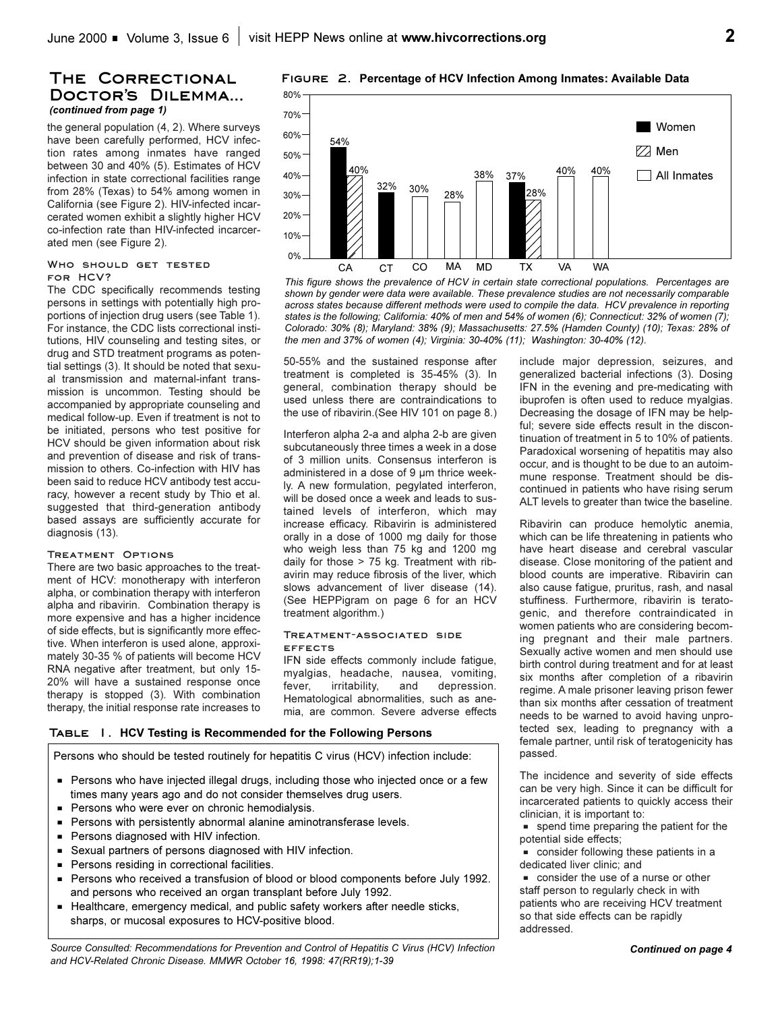#### **The Correctional** DOCTOR'S DILEMMA... *(continued from page 1)*

the general population (4, 2). Where surveys have been carefully performed, HCV infection rates among inmates have ranged between 30 and 40% (5). Estimates of HCV infection in state correctional facilities range from 28% (Texas) to 54% among women in California (see Figure 2). HIV-infected incarcerated women exhibit a slightly higher HCV co-infection rate than HIV-infected incarcerated men (see Figure 2).

#### **Who should get tested for HCV?**

The CDC specifically recommends testing persons in settings with potentially high proportions of injection drug users (see Table 1). For instance, the CDC lists correctional institutions, HIV counseling and testing sites, or drug and STD treatment programs as potential settings (3). It should be noted that sexual transmission and maternal-infant transmission is uncommon. Testing should be accompanied by appropriate counseling and medical follow-up. Even if treatment is not to be initiated, persons who test positive for HCV should be given information about risk and prevention of disease and risk of transmission to others. Co-infection with HIV has been said to reduce HCV antibody test accuracy, however a recent study by Thio et al. suggested that third-generation antibody based assays are sufficiently accurate for diagnosis (13).

#### **Treatment Options**

There are two basic approaches to the treatment of HCV: monotherapy with interferon alpha, or combination therapy with interferon alpha and ribavirin. Combination therapy is more expensive and has a higher incidence of side effects, but is significantly more effective. When interferon is used alone, approximately 30-35 % of patients will become HCV RNA negative after treatment, but only 15- 20% will have a sustained response once therapy is stopped (3). With combination therapy, the initial response rate increases to

80% **Figure 2. Percentage of HCV Infection Among Inmates: Available Data**



*This figure shows the prevalence of HCV in certain state correctional populations. Percentages are shown by gender were data were available. These prevalence studies are not necessarily comparable across states because different methods were used to compile the data. HCV prevalence in reporting states is the following; California: 40% of men and 54% of women (6); Connecticut: 32% of women (7); Colorado: 30% (8); Maryland: 38% (9); Massachusetts: 27.5% (Hamden County) (10); Texas: 28% of the men and 37% of women (4); Virginia: 30-40% (11); Washington: 30-40% (12).*

50-55% and the sustained response after treatment is completed is 35-45% (3). In general, combination therapy should be used unless there are contraindications to the use of ribavirin.(See HIV 101 on page 8.)

Interferon alpha 2-a and alpha 2-b are given subcutaneously three times a week in a dose of 3 million units. Consensus interferon is administered in a dose of 9 µm thrice weekly. A new formulation, pegylated interferon, will be dosed once a week and leads to sustained levels of interferon, which may increase efficacy. Ribavirin is administered orally in a dose of 1000 mg daily for those who weigh less than 75 kg and 1200 mg daily for those > 75 kg. Treatment with ribavirin may reduce fibrosis of the liver, which slows advancement of liver disease (14). (See HEPPigram on page 6 for an HCV treatment algorithm.)

#### **Treatment-associated side effects**

IFN side effects commonly include fatigue, myalgias, headache, nausea, vomiting, fever, irritability, and depression. Hematological abnormalities, such as anemia, are common. Severe adverse effects

#### **Table 1. HCV Testing is Recommended for the Following Persons**

Persons who should be tested routinely for hepatitis C virus (HCV) infection include:

- **Persons who have injected illegal drugs, including those who injected once or a few** times many years ago and do not consider themselves drug users.
- Persons who were ever on chronic hemodialysis.
- **Persons with persistently abnormal alanine aminotransferase levels.**
- Persons diagnosed with HIV infection.
- Sexual partners of persons diagnosed with HIV infection.
- Persons residing in correctional facilities.
- **Persons who received a transfusion of blood or blood components before July 1992.** and persons who received an organ transplant before July 1992.
- Healthcare, emergency medical, and public safety workers after needle sticks, sharps, or mucosal exposures to HCV-positive blood.

*Source Consulted: Recommendations for Prevention and Control of Hepatitis C Virus (HCV) Infection and HCV-Related Chronic Disease. MMWR October 16, 1998: 47(RR19);1-39*

include major depression, seizures, and generalized bacterial infections (3). Dosing IFN in the evening and pre-medicating with ibuprofen is often used to reduce myalgias. Decreasing the dosage of IFN may be helpful; severe side effects result in the discontinuation of treatment in 5 to 10% of patients. Paradoxical worsening of hepatitis may also occur, and is thought to be due to an autoimmune response. Treatment should be discontinued in patients who have rising serum ALT levels to greater than twice the baseline.

Ribavirin can produce hemolytic anemia, which can be life threatening in patients who have heart disease and cerebral vascular disease. Close monitoring of the patient and blood counts are imperative. Ribavirin can also cause fatigue, pruritus, rash, and nasal stuffiness. Furthermore, ribavirin is teratogenic, and therefore contraindicated in women patients who are considering becoming pregnant and their male partners. Sexually active women and men should use birth control during treatment and for at least six months after completion of a ribavirin regime. A male prisoner leaving prison fewer than six months after cessation of treatment needs to be warned to avoid having unprotected sex, leading to pregnancy with a female partner, until risk of teratogenicity has passed.

The incidence and severity of side effects can be very high. Since it can be difficult for incarcerated patients to quickly access their clinician, it is important to:

 $\blacksquare$  spend time preparing the patient for the potential side effects;

onsider following these patients in a dedicated liver clinic; and

consider the use of a nurse or other staff person to regularly check in with patients who are receiving HCV treatment so that side effects can be rapidly addressed.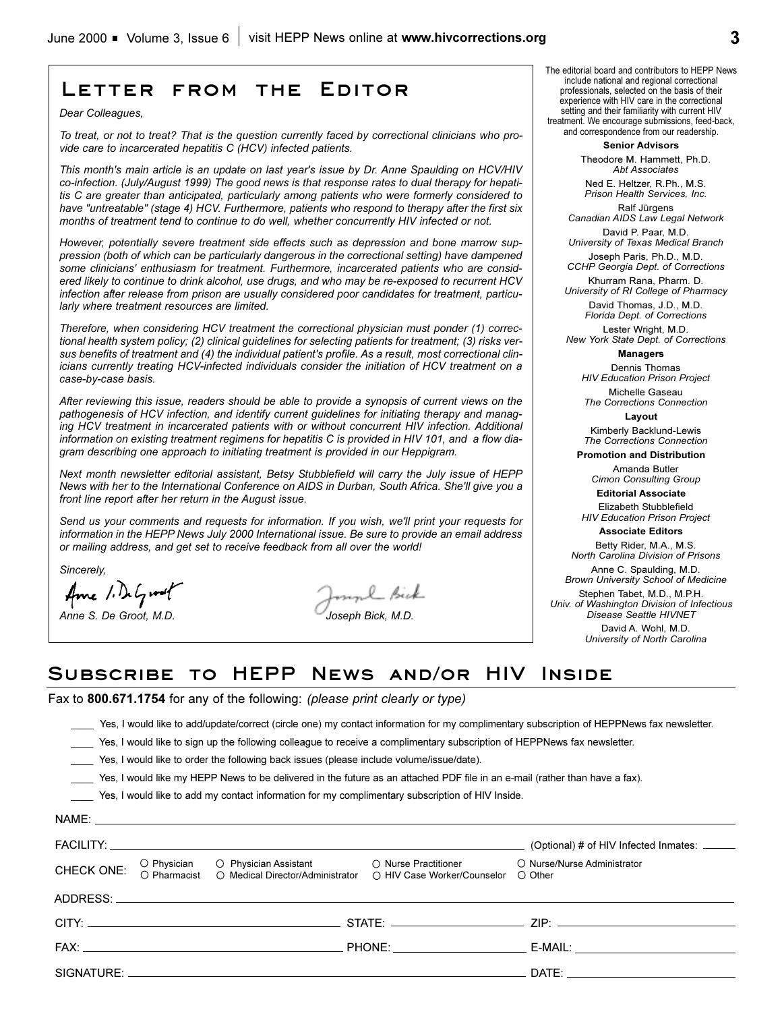## **Letter from the Editor**

*Dear Colleagues,*

*To treat, or not to treat? That is the question currently faced by correctional clinicians who provide care to incarcerated hepatitis C (HCV) infected patients.* 

*This month's main article is an update on last year's issue by Dr. Anne Spaulding on HCV/HIV co-infection. (July/August 1999) The good news is that response rates to dual therapy for hepatitis C are greater than anticipated, particularly among patients who were formerly considered to have "untreatable" (stage 4) HCV. Furthermore, patients who respond to therapy after the first six months of treatment tend to continue to do well, whether concurrently HIV infected or not.* 

*However, potentially severe treatment side effects such as depression and bone marrow suppression (both of which can be particularly dangerous in the correctional setting) have dampened some clinicians' enthusiasm for treatment. Furthermore, incarcerated patients who are considered likely to continue to drink alcohol, use drugs, and who may be re-exposed to recurrent HCV infection after release from prison are usually considered poor candidates for treatment, particularly where treatment resources are limited.*

*Therefore, when considering HCV treatment the correctional physician must ponder (1) correctional health system policy; (2) clinical guidelines for selecting patients for treatment; (3) risks versus benefits of treatment and (4) the individual patient's profile. As a result, most correctional clinicians currently treating HCV-infected individuals consider the initiation of HCV treatment on a case-by-case basis.* 

*After reviewing this issue, readers should be able to provide a synopsis of current views on the pathogenesis of HCV infection, and identify current guidelines for initiating therapy and managing HCV treatment in incarcerated patients with or without concurrent HIV infection. Additional information on existing treatment regimens for hepatitis C is provided in HIV 101, and a flow diagram describing one approach to initiating treatment is provided in our Heppigram.*

*Next month newsletter editorial assistant, Betsy Stubblefield will carry the July issue of HEPP News with her to the International Conference on AIDS in Durban, South Africa. She'll give you a front line report after her return in the August issue.*

*Send us your comments and requests for information. If you wish, we'll print your requests for information in the HEPP News July 2000 International issue. Be sure to provide an email address or mailing address, and get set to receive feedback from all over the world!*

*Sincerely,*

Ame 1. DeGroot

myl Bick *Anne S. De Groot, M.D. Joseph Bick, M.D.*

The editorial board and contributors to HEPP News include national and regional correctional professionals, selected on the basis of their experience with HIV care in the correctional setting and their familiarity with current HIV treatment. We encourage submissions, feed-back, and correspondence from our readership.

**Senior Advisors**

Theodore M. Hammett, Ph.D. *Abt Associates*

Ned E. Heltzer, R.Ph., M.S. *Prison Health Services, Inc.* Ralf Jürgens

*Canadian AIDS Law Legal Network* David P. Paar, M.D.

*University of Texas Medical Branch* Joseph Paris, Ph.D., M.D.

*CCHP Georgia Dept. of Corrections*  Khurram Rana, Pharm. D.

*University of RI College of Pharmacy* David Thomas, J.D., M.D.

*Florida Dept. of Corrections*

Lester Wright, M.D. *New York State Dept. of Corrections*

**Managers**

Dennis Thomas *HIV Education Prison Project* Michelle Gaseau

*The Corrections Connection* **Layout**

Kimberly Backlund-Lewis *The Corrections Connection*

**Promotion and Distribution**

Amanda Butler *Cimon Consulting Group*

**Editorial Associate** 

Elizabeth Stubblefield *HIV Education Prison Project*

**Associate Editors** Betty Rider, M.A., M.S.

*North Carolina Division of Prisons*

Anne C. Spaulding, M.D. *Brown University School of Medicine*

Stephen Tabet, M.D., M.P.H. *Univ. of Washington Division of Infectious Disease Seattle HIVNET*

> David A. Wohl, M.D. *University of North Carolina*

## **Subscribe to HEPP News and/or HIV Inside**

Fax to **800.671.1754** for any of the following: *(please print clearly or type)*

\_\_\_\_ Yes, I would like to add/update/correct (circle one) my contact information for my complimentary subscription of HEPPNews fax newsletter.

Yes, I would like to sign up the following colleague to receive a complimentary subscription of HEPPNews fax newsletter.

Yes, I would like to order the following back issues (please include volume/issue/date).

\_\_\_\_ Yes, I would like my HEPP News to be delivered in the future as an attached PDF file in an e-mail (rather than have a fax).

\_\_\_\_ Yes, I would like to add my contact information for my complimentary subscription of HIV Inside.

|            |  |                                                                                                                                                                    | (Optional) # of HIV Infected Inmates: ______                                                                                                                                                                                   |
|------------|--|--------------------------------------------------------------------------------------------------------------------------------------------------------------------|--------------------------------------------------------------------------------------------------------------------------------------------------------------------------------------------------------------------------------|
| CHECK ONE: |  | O Physician O Physician Assistant O Nurse Practitioner<br>O Pharmacist O Medical Director/Administrator O HIV Case Worker/Counselor<br>○ HIV Case Worker/Counselor | O Nurse/Nurse Administrator<br>◯ Other                                                                                                                                                                                         |
|            |  |                                                                                                                                                                    |                                                                                                                                                                                                                                |
|            |  |                                                                                                                                                                    |                                                                                                                                                                                                                                |
|            |  |                                                                                                                                                                    | E-MAIL: The contract of the contract of the contract of the contract of the contract of the contract of the contract of the contract of the contract of the contract of the contract of the contract of the contract of the co |
|            |  |                                                                                                                                                                    | DATE: the contract of the contract of the contract of the contract of the contract of the contract of the contract of the contract of the contract of the contract of the contract of the contract of the contract of the cont |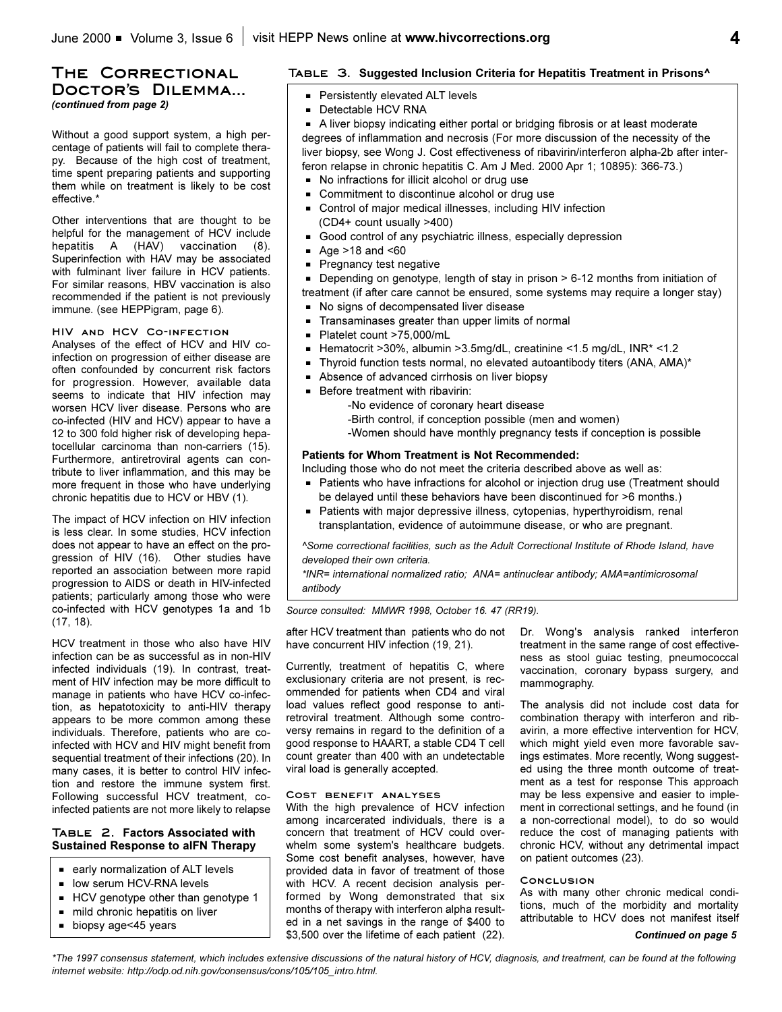## **The Correctional** DOCTOR'S DILEMMA...

*(continued from page 2)*

Without a good support system, a high percentage of patients will fail to complete therapy. Because of the high cost of treatment, time spent preparing patients and supporting them while on treatment is likely to be cost effective.\*

Other interventions that are thought to be helpful for the management of HCV include hepatitis A (HAV) vaccination (8). Superinfection with HAV may be associated with fulminant liver failure in HCV patients. For similar reasons, HBV vaccination is also recommended if the patient is not previously immune. (see HEPPigram, page 6).

#### **HIV and HCV Co-infection**

Analyses of the effect of HCV and HIV coinfection on progression of either disease are often confounded by concurrent risk factors for progression. However, available data seems to indicate that HIV infection may worsen HCV liver disease. Persons who are co-infected (HIV and HCV) appear to have a 12 to 300 fold higher risk of developing hepatocellular carcinoma than non-carriers (15). Furthermore, antiretroviral agents can contribute to liver inflammation, and this may be more frequent in those who have underlying chronic hepatitis due to HCV or HBV (1).

The impact of HCV infection on HIV infection is less clear. In some studies, HCV infection does not appear to have an effect on the progression of HIV (16). Other studies have reported an association between more rapid progression to AIDS or death in HIV-infected patients; particularly among those who were co-infected with HCV genotypes 1a and 1b (17, 18).

HCV treatment in those who also have HIV infection can be as successful as in non-HIV infected individuals (19). In contrast, treatment of HIV infection may be more difficult to manage in patients who have HCV co-infection, as hepatotoxicity to anti-HIV therapy appears to be more common among these individuals. Therefore, patients who are coinfected with HCV and HIV might benefit from sequential treatment of their infections (20). In many cases, it is better to control HIV infection and restore the immune system first. Following successful HCV treatment, coinfected patients are not more likely to relapse

#### **Table 2. Factors Associated with Sustained Response to aIFN Therapy**

- $=$  early normalization of ALT levels
- $\blacksquare$  low serum HCV-RNA levels
- $HCV$  genotype other than genotype 1
- $m$  mild chronic hepatitis on liver
- $\blacksquare$  biopsy age < 45 years

#### **Table 3. Suggested Inclusion Criteria for Hepatitis Treatment in Prisons^**

- **Persistently elevated ALT levels**
- **Detectable HCV RNA**

A liver biopsy indicating either portal or bridging fibrosis or at least moderate degrees of inflammation and necrosis (For more discussion of the necessity of the liver biopsy, see Wong J. Cost effectiveness of ribavirin/interferon alpha-2b after interferon relapse in chronic hepatitis C. Am J Med. 2000 Apr 1; 10895): 366-73.)

- No infractions for illicit alcohol or drug use
- Commitment to discontinue alcohol or drug use
- Control of major medical illnesses, including HIV infection (CD4+ count usually >400)
- Good control of any psychiatric illness, especially depression
- Age  $>18$  and  $< 60$
- $\blacksquare$  Pregnancy test negative

Depending on genotype, length of stay in prison > 6-12 months from initiation of treatment (if after care cannot be ensured, some systems may require a longer stay)

- $\blacksquare$  No signs of decompensated liver disease
- Transaminases greater than upper limits of normal
- Platelet count >75,000/mL
- G Hematocrit >30%, albumin >3.5mg/dL, creatinine <1.5 mg/dL, INR\* <1.2
- Thyroid function tests normal, no elevated autoantibody titers (ANA, AMA)\*
- Absence of advanced cirrhosis on liver biopsy
- $\blacksquare$  Before treatment with ribavirin:

-No evidence of coronary heart disease

- -Birth control, if conception possible (men and women)
- -Women should have monthly pregnancy tests if conception is possible

#### **Patients for Whom Treatment is Not Recommended:**

Including those who do not meet the criteria described above as well as:

- Patients who have infractions for alcohol or injection drug use (Treatment should be delayed until these behaviors have been discontinued for >6 months.)
- **Patients with major depressive illness, cytopenias, hyperthyroidism, renal** transplantation, evidence of autoimmune disease, or who are pregnant.

*^Some correctional facilities, such as the Adult Correctional Institute of Rhode Island, have developed their own criteria.* 

*\*INR= international normalized ratio; ANA= antinuclear antibody; AMA=antimicrosomal antibody*

*Source consulted: MMWR 1998, October 16. 47 (RR19).*

after HCV treatment than patients who do not have concurrent HIV infection (19, 21).

Currently, treatment of hepatitis C, where exclusionary criteria are not present, is recommended for patients when CD4 and viral load values reflect good response to antiretroviral treatment. Although some controversy remains in regard to the definition of a good response to HAART, a stable CD4 T cell count greater than 400 with an undetectable viral load is generally accepted.

#### **Cost benefit analyses**

With the high prevalence of HCV infection among incarcerated individuals, there is a concern that treatment of HCV could overwhelm some system's healthcare budgets. Some cost benefit analyses, however, have provided data in favor of treatment of those with HCV. A recent decision analysis performed by Wong demonstrated that six months of therapy with interferon alpha resulted in a net savings in the range of \$400 to \$3,500 over the lifetime of each patient (22).

Dr. Wong's analysis ranked interferon treatment in the same range of cost effectiveness as stool guiac testing, pneumococcal vaccination, coronary bypass surgery, and mammography.

The analysis did not include cost data for combination therapy with interferon and ribavirin, a more effective intervention for HCV, which might yield even more favorable savings estimates. More recently, Wong suggested using the three month outcome of treatment as a test for response This approach may be less expensive and easier to implement in correctional settings, and he found (in a non-correctional model), to do so would reduce the cost of managing patients with chronic HCV, without any detrimental impact on patient outcomes (23).

#### **Conclusion**

As with many other chronic medical conditions, much of the morbidity and mortality attributable to HCV does not manifest itself

*\*The 1997 consensus statement, which includes extensive discussions of the natural history of HCV, diagnosis, and treatment, can be found at the following internet website: http://odp.od.nih.gov/consensus/cons/105/105\_intro.html.*

*Continued on page 5*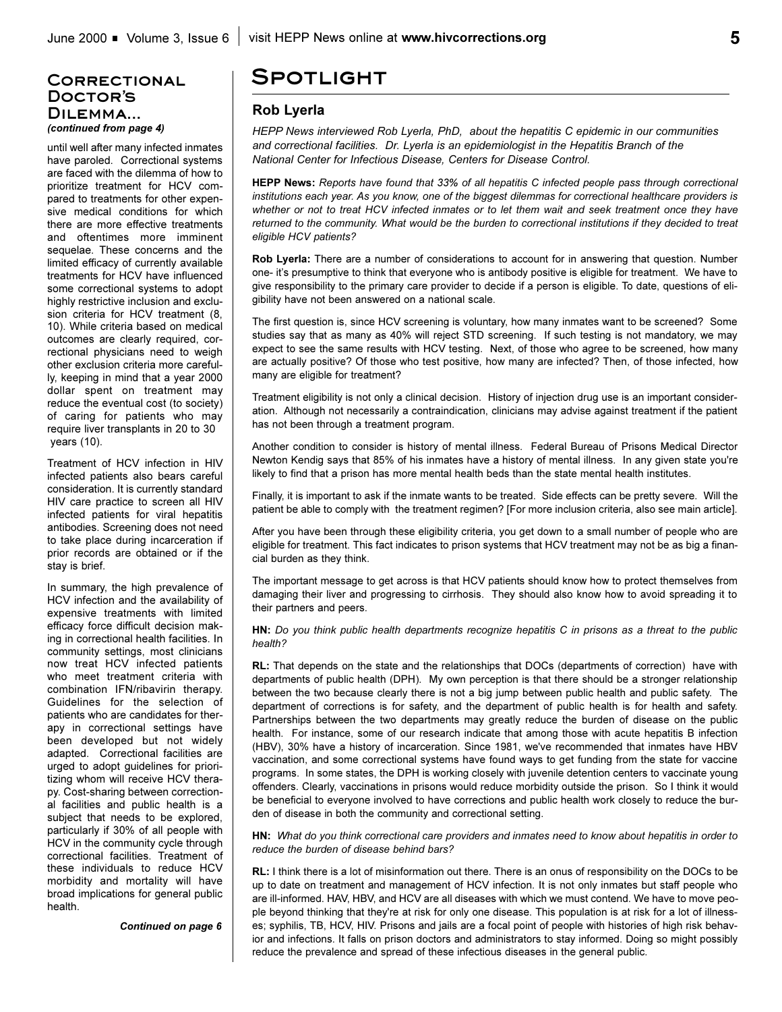### **Correctional Doctors Dilemma...**  *(continued from page 4)*

until well after many infected inmates have paroled. Correctional systems are faced with the dilemma of how to prioritize treatment for HCV compared to treatments for other expensive medical conditions for which there are more effective treatments and oftentimes more imminent sequelae. These concerns and the limited efficacy of currently available treatments for HCV have influenced some correctional systems to adopt highly restrictive inclusion and exclusion criteria for HCV treatment (8, 10). While criteria based on medical outcomes are clearly required, correctional physicians need to weigh other exclusion criteria more carefully, keeping in mind that a year 2000 dollar spent on treatment may reduce the eventual cost (to society) of caring for patients who may require liver transplants in 20 to 30 years (10).

Treatment of HCV infection in HIV infected patients also bears careful consideration. It is currently standard HIV care practice to screen all HIV infected patients for viral hepatitis antibodies. Screening does not need to take place during incarceration if prior records are obtained or if the stay is brief.

In summary, the high prevalence of HCV infection and the availability of expensive treatments with limited efficacy force difficult decision making in correctional health facilities. In community settings, most clinicians now treat HCV infected patients who meet treatment criteria with combination IFN/ribavirin therapy. Guidelines for the selection of patients who are candidates for therapy in correctional settings have been developed but not widely adapted. Correctional facilities are urged to adopt guidelines for prioritizing whom will receive HCV therapy. Cost-sharing between correctional facilities and public health is a subject that needs to be explored, particularly if 30% of all people with HCV in the community cycle through correctional facilities. Treatment of these individuals to reduce HCV morbidity and mortality will have broad implications for general public health.

*Continued on page 6*

## **Spotlight**

#### **Rob Lyerla**

*HEPP News interviewed Rob Lyerla, PhD, about the hepatitis C epidemic in our communities and correctional facilities. Dr. Lyerla is an epidemiologist in the Hepatitis Branch of the National Center for Infectious Disease, Centers for Disease Control.* 

**HEPP News:** *Reports have found that 33% of all hepatitis C infected people pass through correctional institutions each year. As you know, one of the biggest dilemmas for correctional healthcare providers is whether or not to treat HCV infected inmates or to let them wait and seek treatment once they have returned to the community. What would be the burden to correctional institutions if they decided to treat eligible HCV patients?*

**Rob Lyerla:** There are a number of considerations to account for in answering that question. Number one- it's presumptive to think that everyone who is antibody positive is eligible for treatment. We have to give responsibility to the primary care provider to decide if a person is eligible. To date, questions of eligibility have not been answered on a national scale.

The first question is, since HCV screening is voluntary, how many inmates want to be screened? Some studies say that as many as 40% will reject STD screening. If such testing is not mandatory, we may expect to see the same results with HCV testing. Next, of those who agree to be screened, how many are actually positive? Of those who test positive, how many are infected? Then, of those infected, how many are eligible for treatment?

Treatment eligibility is not only a clinical decision. History of injection drug use is an important consideration. Although not necessarily a contraindication, clinicians may advise against treatment if the patient has not been through a treatment program.

Another condition to consider is history of mental illness. Federal Bureau of Prisons Medical Director Newton Kendig says that 85% of his inmates have a history of mental illness. In any given state you're likely to find that a prison has more mental health beds than the state mental health institutes.

Finally, it is important to ask if the inmate wants to be treated. Side effects can be pretty severe. Will the patient be able to comply with the treatment regimen? [For more inclusion criteria, also see main article].

After you have been through these eligibility criteria, you get down to a small number of people who are eligible for treatment. This fact indicates to prison systems that HCV treatment may not be as big a financial burden as they think.

The important message to get across is that HCV patients should know how to protect themselves from damaging their liver and progressing to cirrhosis. They should also know how to avoid spreading it to their partners and peers.

**HN:** *Do you think public health departments recognize hepatitis C in prisons as a threat to the public health?*

**RL:** That depends on the state and the relationships that DOCs (departments of correction) have with departments of public health (DPH). My own perception is that there should be a stronger relationship between the two because clearly there is not a big jump between public health and public safety. The department of corrections is for safety, and the department of public health is for health and safety. Partnerships between the two departments may greatly reduce the burden of disease on the public health. For instance, some of our research indicate that among those with acute hepatitis B infection (HBV), 30% have a history of incarceration. Since 1981, we've recommended that inmates have HBV vaccination, and some correctional systems have found ways to get funding from the state for vaccine programs. In some states, the DPH is working closely with juvenile detention centers to vaccinate young offenders. Clearly, vaccinations in prisons would reduce morbidity outside the prison. So I think it would be beneficial to everyone involved to have corrections and public health work closely to reduce the burden of disease in both the community and correctional setting.

**HN:** *What do you think correctional care providers and inmates need to know about hepatitis in order to reduce the burden of disease behind bars?*

**RL:** I think there is a lot of misinformation out there. There is an onus of responsibility on the DOCs to be up to date on treatment and management of HCV infection. It is not only inmates but staff people who are ill-informed. HAV, HBV, and HCV are all diseases with which we must contend. We have to move people beyond thinking that they're at risk for only one disease. This population is at risk for a lot of illnesses; syphilis, TB, HCV, HIV. Prisons and jails are a focal point of people with histories of high risk behavior and infections. It falls on prison doctors and administrators to stay informed. Doing so might possibly reduce the prevalence and spread of these infectious diseases in the general public.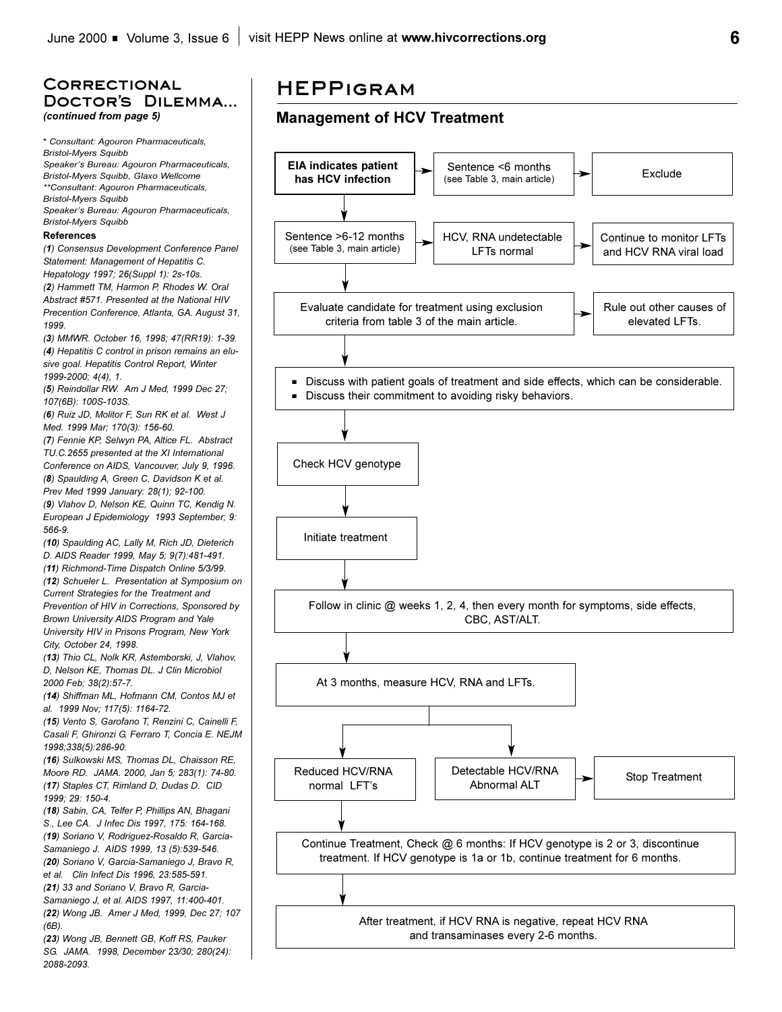## **Correctional** DOCTOR'S DILEMMA... *(continued from page 5)*

\* *Consultant: Agouron Pharmaceuticals, Bristol-Myers Squibb* Speaker's Bureau: Agouron Pharmaceuticals, *Bristol-Myers Squibb, Glaxo Wellcome \*\*Consultant: Agouron Pharmaceuticals, Bristol-Myers Squibb* Speaker's Bureau: Agouron Pharmaceuticals, *Bristol-Myers Squibb*

#### **References**

*(1) Consensus Development Conference Panel Statement: Management of Hepatitis C. Hepatology 1997; 26(Suppl 1): 2s-10s. (2) Hammett TM, Harmon P, Rhodes W. Oral Abstract #571. Presented at the National HIV Precention Conference, Atlanta, GA. August 31, 1999.* 

*(3) MMWR. October 16, 1998; 47(RR19): 1-39. (4) Hepatitis C control in prison remains an elusive goal. Hepatitis Control Report, Winter 1999-2000; 4(4), 1.*

*(5) Reindollar RW. Am J Med, 1999 Dec 27; 107(6B): 100S-103S.*

*(6) Ruiz JD, Molitor F, Sun RK et al. West J Med. 1999 Mar; 170(3): 156-60.*

*(7) Fennie KP, Selwyn PA, Altice FL. Abstract TU.C.2655 presented at the XI International Conference on AIDS, Vancouver, July 9, 1996. (8) Spaulding A, Green C, Davidson K et al. Prev Med 1999 January: 28(1); 92-100. (9) Vlahov D, Nelson KE, Quinn TC, Kendig N. European J Epidemiology 1993 September; 9: 566-9.*

*(10) Spaulding AC, Lally M, Rich JD, Dieterich D. AIDS Reader 1999, May 5; 9(7):481-491. (11) Richmond-Time Dispatch Online 5/3/99. (12) Schueler L. Presentation at Symposium on Current Strategies for the Treatment and Prevention of HIV in Corrections, Sponsored by Brown University AIDS Program and Yale*

*University HIV in Prisons Program, New York City, October 24, 1998.*

*(13) Thio CL, Nolk KR, Astemborski, J, Vlahov, D, Nelson KE, Thomas DL. J Clin Microbiol 2000 Feb; 38(2):57-7.*

*(14) Shiffman ML, Hofmann CM, Contos MJ et al. 1999 Nov; 117(5): 1164-72.*

*(15) Vento S, Garofano T, Renzini C, Cainelli F, Casali F, Ghironzi G, Ferraro T, Concia E. NEJM 1998;338(5):286-90.*

*(16) Sulkowski MS, Thomas DL, Chaisson RE, Moore RD. JAMA. 2000, Jan 5; 283(1): 74-80. (17) Staples CT, Rimland D, Dudas D. CID 1999; 29: 150-4.*

*(18) Sabin, CA, Telfer P, Phillips AN, Bhagani S., Lee CA. J Infec Dis 1997, 175: 164-168. (19) Soriano V, Rodriguez-Rosaldo R, Garcia-Samaniego J. AIDS 1999, 13 (5):539-546. (20) Soriano V, Garcia-Samaniego J, Bravo R, et al. Clin Infect Dis 1996, 23:585-591. (21) 33 and Soriano V, Bravo R, Garcia-*

*Samaniego J, et al. AIDS 1997, 11:400-401. (22) Wong JB. Amer J Med, 1999, Dec 27; 107 (6B).*

*(23) Wong JB, Bennett GB, Koff RS, Pauker SG. JAMA. 1998, December 23/30; 280(24): 2088-2093.*

# **HEPPigram**

## **Management of HCV Treatment**

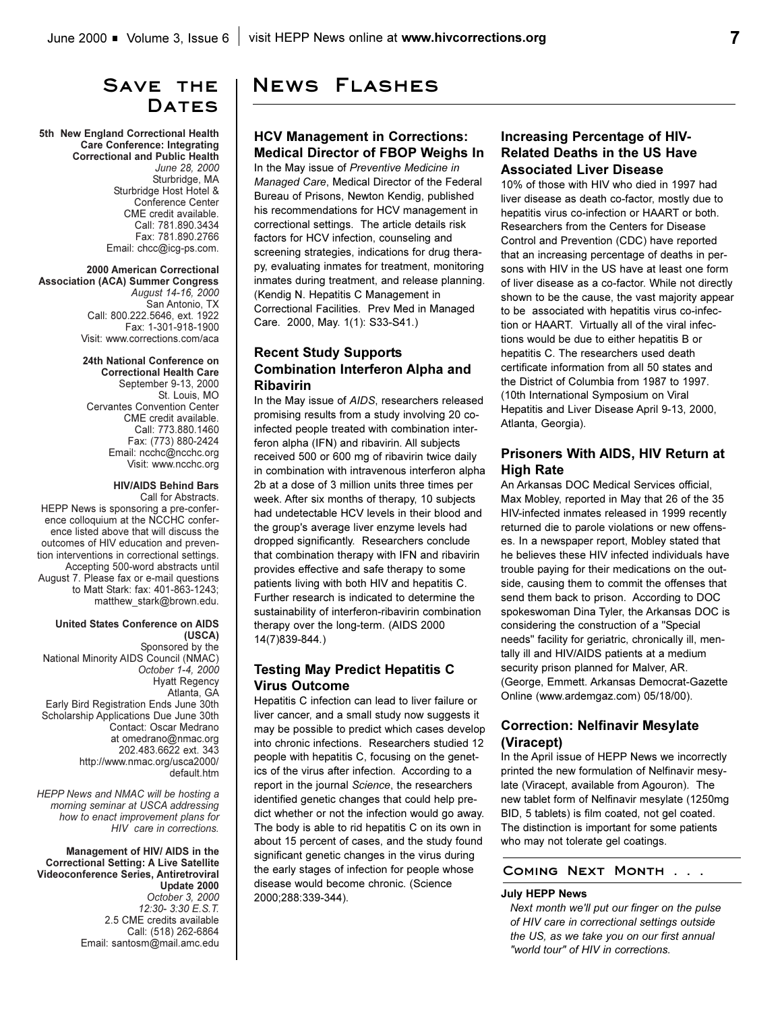## **Save the**  DATES

**5th New England Correctional Health Care Conference: Integrating Correctional and Public Health** *June 28, 2000* Sturbridge, MA Sturbridge Host Hotel & Conference Center CME credit available. Call: 781.890.3434 Fax: 781.890.2766 Email: chcc@icg-ps.com.

#### **2000 American Correctional**

**Association (ACA) Summer Congress** *August 14-16, 2000* San Antonio, TX Call: 800.222.5646, ext. 1922 Fax: 1-301-918-1900 Visit: www.corrections.com/aca

> **24th National Conference on Correctional Health Care**  September 9-13, 2000 St. Louis, MO Cervantes Convention Center CME credit available. Call: 773.880.1460 Fax: (773) 880-2424 Email: ncchc@ncchc.org Visit: www.ncchc.org

#### **HIV/AIDS Behind Bars**

Call for Abstracts. HEPP News is sponsoring a pre-conference colloquium at the NCCHC conference listed above that will discuss the outcomes of HIV education and prevention interventions in correctional settings. Accepting 500-word abstracts until August 7. Please fax or e-mail questions to Matt Stark: fax: 401-863-1243; matthew\_stark@brown.edu.

#### **United States Conference on AIDS (USCA)**

Sponsored by the National Minority AIDS Council (NMAC) *October 1-4, 2000* Hyatt Regency Atlanta, GA Early Bird Registration Ends June 30th Scholarship Applications Due June 30th Contact: Oscar Medrano at omedrano@nmac.org 202.483.6622 ext. 343 http://www.nmac.org/usca2000/ default.htm

*HEPP News and NMAC will be hosting a morning seminar at USCA addressing how to enact improvement plans for HIV care in corrections.*

**Management of HIV/ AIDS in the Correctional Setting: A Live Satellite Videoconference Series, Antiretroviral Update 2000** *October 3, 2000 12:30- 3:30 E.S.T.* 2.5 CME credits available Call: (518) 262-6864 Email: santosm@mail.amc.edu

## **News Flashes**

### **HCV Management in Corrections: Medical Director of FBOP Weighs In**

In the May issue of *Preventive Medicine in Managed Care*, Medical Director of the Federal Bureau of Prisons, Newton Kendig, published his recommendations for HCV management in correctional settings. The article details risk factors for HCV infection, counseling and screening strategies, indications for drug therapy, evaluating inmates for treatment, monitoring inmates during treatment, and release planning. (Kendig N. Hepatitis C Management in Correctional Facilities. Prev Med in Managed Care. 2000, May. 1(1): S33-S41.)

## **Recent Study Supports Combination Interferon Alpha and Ribavirin**

In the May issue of *AIDS*, researchers released promising results from a study involving 20 coinfected people treated with combination interferon alpha (IFN) and ribavirin. All subjects received 500 or 600 mg of ribavirin twice daily in combination with intravenous interferon alpha 2b at a dose of 3 million units three times per week. After six months of therapy, 10 subjects had undetectable HCV levels in their blood and the group's average liver enzyme levels had dropped significantly. Researchers conclude that combination therapy with IFN and ribavirin provides effective and safe therapy to some patients living with both HIV and hepatitis C. Further research is indicated to determine the sustainability of interferon-ribavirin combination therapy over the long-term. (AIDS 2000 14(7)839-844.)

## **Testing May Predict Hepatitis C Virus Outcome**

Hepatitis C infection can lead to liver failure or liver cancer, and a small study now suggests it may be possible to predict which cases develop into chronic infections. Researchers studied 12 people with hepatitis C, focusing on the genetics of the virus after infection. According to a report in the journal *Science*, the researchers identified genetic changes that could help predict whether or not the infection would go away. The body is able to rid hepatitis C on its own in about 15 percent of cases, and the study found significant genetic changes in the virus during the early stages of infection for people whose disease would become chronic. (Science 2000;288:339-344).

## **Increasing Percentage of HIV-Related Deaths in the US Have Associated Liver Disease**

10% of those with HIV who died in 1997 had liver disease as death co-factor, mostly due to hepatitis virus co-infection or HAART or both. Researchers from the Centers for Disease Control and Prevention (CDC) have reported that an increasing percentage of deaths in persons with HIV in the US have at least one form of liver disease as a co-factor. While not directly shown to be the cause, the vast majority appear to be associated with hepatitis virus co-infection or HAART. Virtually all of the viral infections would be due to either hepatitis B or hepatitis C. The researchers used death certificate information from all 50 states and the District of Columbia from 1987 to 1997. (10th International Symposium on Viral Hepatitis and Liver Disease April 9-13, 2000, Atlanta, Georgia).

### **Prisoners With AIDS, HIV Return at High Rate**

An Arkansas DOC Medical Services official, Max Mobley, reported in May that 26 of the 35 HIV-infected inmates released in 1999 recently returned die to parole violations or new offenses. In a newspaper report, Mobley stated that he believes these HIV infected individuals have trouble paying for their medications on the outside, causing them to commit the offenses that send them back to prison. According to DOC spokeswoman Dina Tyler, the Arkansas DOC is considering the construction of a "Special needs" facility for geriatric, chronically ill, mentally ill and HIV/AIDS patients at a medium security prison planned for Malver, AR. (George, Emmett. Arkansas Democrat-Gazette Online (www.ardemgaz.com) 05/18/00).

### **Correction: Nelfinavir Mesylate (Viracept)**

In the April issue of HEPP News we incorrectly printed the new formulation of Nelfinavir mesylate (Viracept, available from Agouron). The new tablet form of Nelfinavir mesylate (1250mg BID, 5 tablets) is film coated, not gel coated. The distinction is important for some patients who may not tolerate gel coatings.

### **Coming Next Month . . .**

#### **July HEPP News**

*Next month we'll put our finger on the pulse of HIV care in correctional settings outside the US, as we take you on our first annual "world tour" of HIV in corrections.*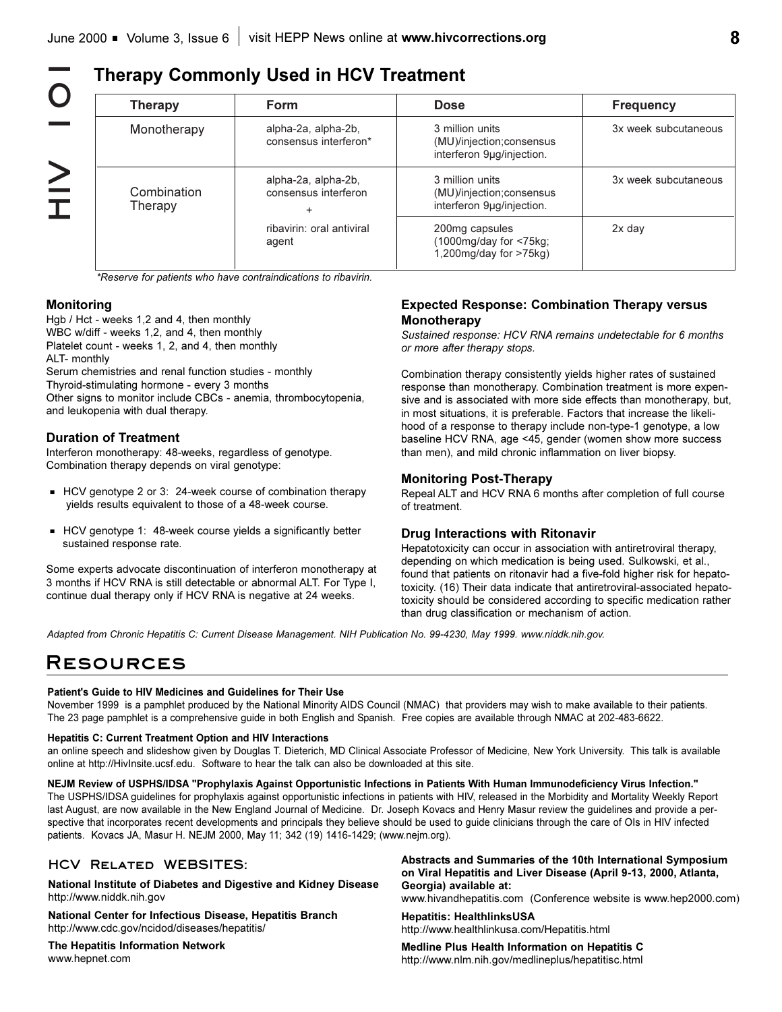**HOI】<br>NHIV**  $\bigcirc$  $\geq$ 

## **Therapy Commonly Used in HCV Treatment**

| <b>Therapy</b>                                              | Form                                         | <b>Dose</b>                                                                 | <b>Frequency</b>     |
|-------------------------------------------------------------|----------------------------------------------|-----------------------------------------------------------------------------|----------------------|
| Monotherapy                                                 | alpha-2a, alpha-2b,<br>consensus interferon* | 3 million units<br>(MU)/injection; consensus<br>interferon 9µg/injection.   | 3x week subcutaneous |
| alpha-2a, alpha-2b,<br>Combination<br>Therapy<br>÷<br>agent | consensus interferon                         | 3 million units<br>(MU)/injection; consensus<br>interferon 9µg/injection.   | 3x week subcutaneous |
|                                                             | ribavirin: oral antiviral                    | 200mg capsules<br>$(1000mg/day$ for $\leq 75kg$ ;<br>1,200mg/day for >75kg) | $2x$ day             |

*\*Reserve for patients who have contraindications to ribavirin.*

### **Monitoring**

Hgb / Hct - weeks 1,2 and 4, then monthly WBC w/diff - weeks 1,2, and 4, then monthly Platelet count - weeks 1, 2, and 4, then monthly ALT- monthly

Serum chemistries and renal function studies - monthly Thyroid-stimulating hormone - every 3 months Other signs to monitor include CBCs - anemia, thrombocytopenia, and leukopenia with dual therapy.

#### **Duration of Treatment**

Interferon monotherapy: 48-weeks, regardless of genotype. Combination therapy depends on viral genotype:

- HCV genotype 2 or 3: 24-week course of combination therapy yields results equivalent to those of a 48-week course.
- **HCV** genotype 1: 48-week course yields a significantly better sustained response rate.

Some experts advocate discontinuation of interferon monotherapy at 3 months if HCV RNA is still detectable or abnormal ALT. For Type I, continue dual therapy only if HCV RNA is negative at 24 weeks.

### **Expected Response: Combination Therapy versus Monotherapy**

*Sustained response: HCV RNA remains undetectable for 6 months or more after therapy stops.*

Combination therapy consistently yields higher rates of sustained response than monotherapy. Combination treatment is more expensive and is associated with more side effects than monotherapy, but, in most situations, it is preferable. Factors that increase the likelihood of a response to therapy include non-type-1 genotype, a low baseline HCV RNA, age <45, gender (women show more success than men), and mild chronic inflammation on liver biopsy.

#### **Monitoring Post-Therapy**

Repeal ALT and HCV RNA 6 months after completion of full course of treatment.

### **Drug Interactions with Ritonavir**

Hepatotoxicity can occur in association with antiretroviral therapy, depending on which medication is being used. Sulkowski, et al., found that patients on ritonavir had a five-fold higher risk for hepatotoxicity. (16) Their data indicate that antiretroviral-associated hepatotoxicity should be considered according to specific medication rather than drug classification or mechanism of action.

*Adapted from Chronic Hepatitis C: Current Disease Management. NIH Publication No. 99-4230, May 1999. www.niddk.nih.gov.*

# **Resources**

#### **Patient's Guide to HIV Medicines and Guidelines for Their Use**

November 1999 is a pamphlet produced by the National Minority AIDS Council (NMAC) that providers may wish to make available to their patients. The 23 page pamphlet is a comprehensive guide in both English and Spanish. Free copies are available through NMAC at 202-483-6622.

#### **Hepatitis C: Current Treatment Option and HIV Interactions**

an online speech and slideshow given by Douglas T. Dieterich, MD Clinical Associate Professor of Medicine, New York University. This talk is available online at http://HivInsite.ucsf.edu. Software to hear the talk can also be downloaded at this site.

**NEJM Review of USPHS/IDSA "Prophylaxis Against Opportunistic Infections in Patients With Human Immunodeficiency Virus Infection."**

The USPHS/IDSA guidelines for prophylaxis against opportunistic infections in patients with HIV, released in the Morbidity and Mortality Weekly Report last August, are now available in the New England Journal of Medicine. Dr. Joseph Kovacs and Henry Masur review the guidelines and provide a perspective that incorporates recent developments and principals they believe should be used to guide clinicians through the care of OIs in HIV infected patients. Kovacs JA, Masur H. NEJM 2000, May 11; 342 (19) 1416-1429; (www.nejm.org).

### **HCV Related WEBSITES:**

**National Institute of Diabetes and Digestive and Kidney Disease**  http://www.niddk.nih.gov

**National Center for Infectious Disease, Hepatitis Branch** http://www.cdc.gov/ncidod/diseases/hepatitis/

**The Hepatitis Information Network** www.hepnet.com

**Abstracts and Summaries of the 10th International Symposium on Viral Hepatitis and Liver Disease (April 9-13, 2000, Atlanta, Georgia) available at:**

www.hivandhepatitis.com (Conference website is www.hep2000.com)

**Hepatitis: HealthlinksUSA** http://www.healthlinkusa.com/Hepatitis.html

**Medline Plus Health Information on Hepatitis C** http://www.nlm.nih.gov/medlineplus/hepatitisc.html